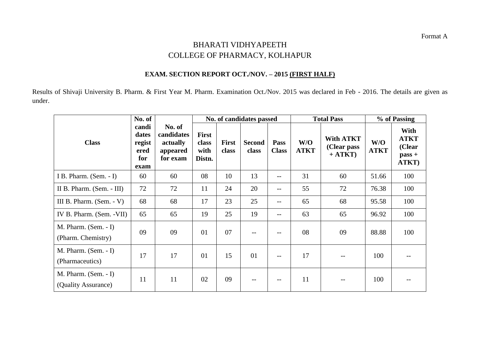## BHARATI VIDHYAPEETH COLLEGE OF PHARMACY, KOLHAPUR

## **EXAM. SECTION REPORT OCT./NOV. – 2015 (FIRST HALF)**

Results of Shivaji University B. Pharm. & First Year M. Pharm. Examination Oct./Nov. 2015 was declared in Feb - 2016. The details are given as under.

|                                               | No. of                                          |                                                          | No. of candidates passed                |                       |                        |                      |                    | <b>Total Pass</b>                            | % of Passing       |                                                    |
|-----------------------------------------------|-------------------------------------------------|----------------------------------------------------------|-----------------------------------------|-----------------------|------------------------|----------------------|--------------------|----------------------------------------------|--------------------|----------------------------------------------------|
| <b>Class</b>                                  | candi<br>dates<br>regist<br>ered<br>for<br>exam | No. of<br>candidates<br>actually<br>appeared<br>for exam | <b>First</b><br>class<br>with<br>Distn. | <b>First</b><br>class | <b>Second</b><br>class | Pass<br><b>Class</b> | W/O<br><b>ATKT</b> | <b>With ATKT</b><br>(Clear pass<br>$+ ATKT)$ | W/O<br><b>ATKT</b> | With<br><b>ATKT</b><br>(Clear<br>$pass +$<br>ATKT) |
| I B. Pharm. (Sem. - I)                        | 60                                              | 60                                                       | 08                                      | 10                    | 13                     |                      | 31                 | 60                                           | 51.66              | 100                                                |
| II B. Pharm. (Sem. - III)                     | 72                                              | 72                                                       | 11                                      | 24                    | 20                     | --                   | 55                 | 72                                           | 76.38              | 100                                                |
| III B. Pharm. $(Sem. - V)$                    | 68                                              | 68                                                       | 17                                      | 23                    | 25                     | $-$                  | 65                 | 68                                           | 95.58              | 100                                                |
| IV B. Pharm. (Sem. - VII)                     | 65                                              | 65                                                       | 19                                      | 25                    | 19                     | $-$                  | 63                 | 65                                           | 96.92              | 100                                                |
| M. Pharm. $(Sem. - I)$<br>(Pharm. Chemistry)  | 09                                              | 09                                                       | 01                                      | 07                    |                        | $\qquad \qquad -$    | 08                 | 09                                           | 88.88              | 100                                                |
| $M.$ Pharm. (Sem. - I)<br>(Pharmaceutics)     | 17                                              | 17                                                       | 01                                      | 15                    | 01                     |                      | 17                 |                                              | 100                |                                                    |
| $M.$ Pharm. (Sem. - I)<br>(Quality Assurance) | 11                                              | 11                                                       | 02                                      | 09                    |                        |                      | 11                 |                                              | 100                |                                                    |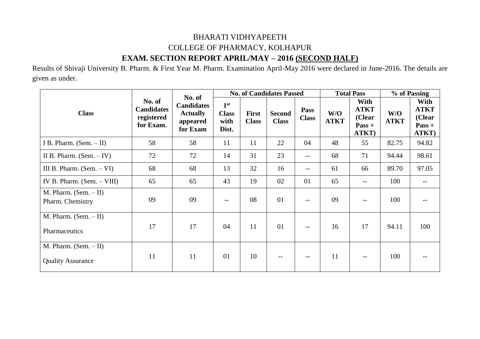## BHARATI VIDHYAPEETH COLLEGE OF PHARMACY, KOLHAPUR **EXAM. SECTION REPORT APRIL/MAY – 2016 (SECOND HALF)**

Results of Shivaji University B. Pharm. & First Year M. Pharm. Examination April-May 2016 were declared in June-2016. The details are given as under.

|                                                     |                                                        |                                                                        |                                                  |                              | <b>No. of Candidates Passed</b> |                      | <b>Total Pass</b>  |                                                    | % of Passing       |                                                    |
|-----------------------------------------------------|--------------------------------------------------------|------------------------------------------------------------------------|--------------------------------------------------|------------------------------|---------------------------------|----------------------|--------------------|----------------------------------------------------|--------------------|----------------------------------------------------|
| <b>Class</b>                                        | No. of<br><b>Candidates</b><br>registered<br>for Exam. | No. of<br><b>Candidates</b><br><b>Actually</b><br>appeared<br>for Exam | 1 <sup>st</sup><br><b>Class</b><br>with<br>Dist. | <b>First</b><br><b>Class</b> | <b>Second</b><br><b>Class</b>   | Pass<br><b>Class</b> | W/O<br><b>ATKT</b> | With<br><b>ATKT</b><br>(Clear<br>$Pass +$<br>ATKT) | W/O<br><b>ATKT</b> | With<br><b>ATKT</b><br>(Clear<br>$Pass +$<br>ATKT) |
| I B. Pharm. $(Sem. - II)$                           | 58                                                     | 58                                                                     | 11                                               | 11                           | 22                              | 04                   | 48                 | 55                                                 | 82.75              | 94.82                                              |
| II B. Pharm. $(Sem. - IV)$                          | 72                                                     | 72                                                                     | 14                                               | 31                           | 23                              | $--$                 | 68                 | 71                                                 | 94.44              | 98.61                                              |
| III B. Pharm. $(Sem. - VI)$                         | 68                                                     | 68                                                                     | 13                                               | 32                           | 16                              | $--$                 | 61                 | 66                                                 | 89.70              | 97.05                                              |
| IV B. Pharm. $(Sem. - VIII)$                        | 65                                                     | 65                                                                     | 43                                               | 19                           | 02                              | 01                   | 65                 | $\qquad \qquad -$                                  | 100                |                                                    |
| M. Pharm. $(Sem. - II)$<br>Pharm. Chemistry         | 09                                                     | 09                                                                     | $-$                                              | 08                           | 01                              | $--$                 | 09                 | $-$                                                | 100                |                                                    |
| M. Pharm. $(Sem. - II)$<br>Pharmaceutics            | 17                                                     | 17                                                                     | 04                                               | 11                           | 01                              | $--$                 | 16                 | 17                                                 | 94.11              | 100                                                |
| M. Pharm. $(Sem. - II)$<br><b>Quality Assurance</b> | 11                                                     | 11                                                                     | 01                                               | 10                           | $- -$                           | $- -$                | 11                 | $- -$                                              | 100                |                                                    |